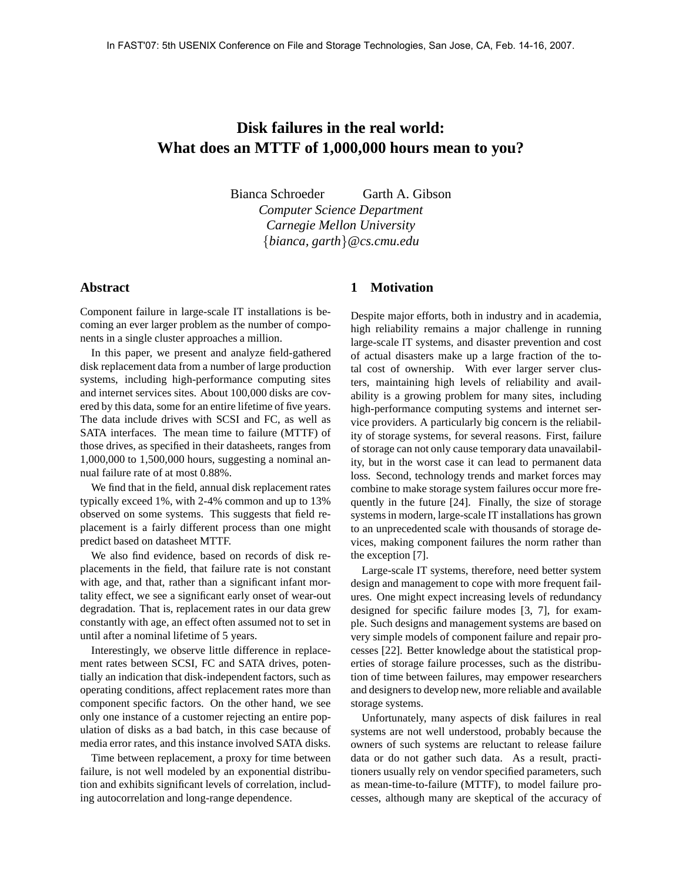# **Disk failures in the real world: What does an MTTF of 1,000,000 hours mean to you?**

Bianca Schroeder Garth A. Gibson *Computer Science Department Carnegie Mellon University* {*bianca, garth*}*@cs.cmu.edu*

## **Abstract**

Component failure in large-scale IT installations is becoming an ever larger problem as the number of components in a single cluster approaches a million.

In this paper, we present and analyze field-gathered disk replacement data from a number of large production systems, including high-performance computing sites and internet services sites. About 100,000 disks are covered by this data, some for an entire lifetime of five years. The data include drives with SCSI and FC, as well as SATA interfaces. The mean time to failure (MTTF) of those drives, as specified in their datasheets, ranges from 1,000,000 to 1,500,000 hours, suggesting a nominal annual failure rate of at most 0.88%.

We find that in the field, annual disk replacement rates typically exceed 1%, with 2-4% common and up to 13% observed on some systems. This suggests that field replacement is a fairly different process than one might predict based on datasheet MTTF.

We also find evidence, based on records of disk replacements in the field, that failure rate is not constant with age, and that, rather than a significant infant mortality effect, we see a significant early onset of wear-out degradation. That is, replacement rates in our data grew constantly with age, an effect often assumed not to set in until after a nominal lifetime of 5 years.

Interestingly, we observe little difference in replacement rates between SCSI, FC and SATA drives, potentially an indication that disk-independent factors, such as operating conditions, affect replacement rates more than component specific factors. On the other hand, we see only one instance of a customer rejecting an entire population of disks as a bad batch, in this case because of media error rates, and this instance involved SATA disks.

Time between replacement, a proxy for time between failure, is not well modeled by an exponential distribution and exhibits significant levels of correlation, including autocorrelation and long-range dependence.

#### **1 Motivation**

Despite major efforts, both in industry and in academia, high reliability remains a major challenge in running large-scale IT systems, and disaster prevention and cost of actual disasters make up a large fraction of the total cost of ownership. With ever larger server clusters, maintaining high levels of reliability and availability is a growing problem for many sites, including high-performance computing systems and internet service providers. A particularly big concern is the reliability of storage systems, for several reasons. First, failure of storage can not only cause temporary data unavailability, but in the worst case it can lead to permanent data loss. Second, technology trends and market forces may combine to make storage system failures occur more frequently in the future [24]. Finally, the size of storage systems in modern, large-scale IT installations has grown to an unprecedented scale with thousands of storage devices, making component failures the norm rather than the exception [7].

Large-scale IT systems, therefore, need better system design and management to cope with more frequent failures. One might expect increasing levels of redundancy designed for specific failure modes [3, 7], for example. Such designs and management systems are based on very simple models of component failure and repair processes [22]. Better knowledge about the statistical properties of storage failure processes, such as the distribution of time between failures, may empower researchers and designers to develop new, more reliable and available storage systems.

Unfortunately, many aspects of disk failures in real systems are not well understood, probably because the owners of such systems are reluctant to release failure data or do not gather such data. As a result, practitioners usually rely on vendor specified parameters, such as mean-time-to-failure (MTTF), to model failure processes, although many are skeptical of the accuracy of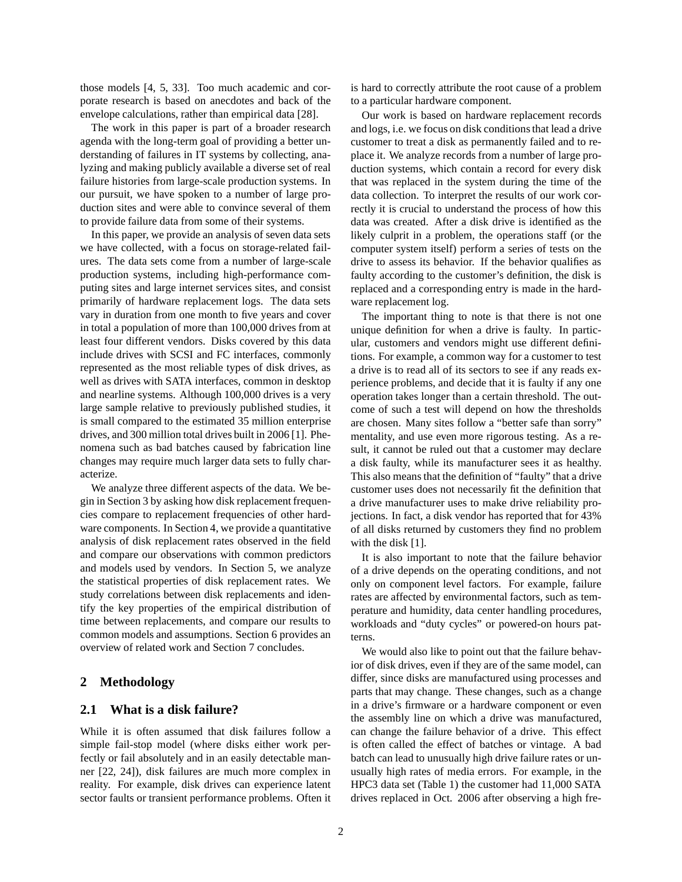those models [4, 5, 33]. Too much academic and corporate research is based on anecdotes and back of the envelope calculations, rather than empirical data [28].

The work in this paper is part of a broader research agenda with the long-term goal of providing a better understanding of failures in IT systems by collecting, analyzing and making publicly available a diverse set of real failure histories from large-scale production systems. In our pursuit, we have spoken to a number of large production sites and were able to convince several of them to provide failure data from some of their systems.

In this paper, we provide an analysis of seven data sets we have collected, with a focus on storage-related failures. The data sets come from a number of large-scale production systems, including high-performance computing sites and large internet services sites, and consist primarily of hardware replacement logs. The data sets vary in duration from one month to five years and cover in total a population of more than 100,000 drives from at least four different vendors. Disks covered by this data include drives with SCSI and FC interfaces, commonly represented as the most reliable types of disk drives, as well as drives with SATA interfaces, common in desktop and nearline systems. Although 100,000 drives is a very large sample relative to previously published studies, it is small compared to the estimated 35 million enterprise drives, and 300 million total drives built in 2006 [1]. Phenomena such as bad batches caused by fabrication line changes may require much larger data sets to fully characterize.

We analyze three different aspects of the data. We begin in Section 3 by asking how disk replacement frequencies compare to replacement frequencies of other hardware components. In Section 4, we provide a quantitative analysis of disk replacement rates observed in the field and compare our observations with common predictors and models used by vendors. In Section 5, we analyze the statistical properties of disk replacement rates. We study correlations between disk replacements and identify the key properties of the empirical distribution of time between replacements, and compare our results to common models and assumptions. Section 6 provides an overview of related work and Section 7 concludes.

#### **2 Methodology**

## **2.1 What is a disk failure?**

While it is often assumed that disk failures follow a simple fail-stop model (where disks either work perfectly or fail absolutely and in an easily detectable manner [22, 24]), disk failures are much more complex in reality. For example, disk drives can experience latent sector faults or transient performance problems. Often it is hard to correctly attribute the root cause of a problem to a particular hardware component.

Our work is based on hardware replacement records and logs, i.e. we focus on disk conditions that lead a drive customer to treat a disk as permanently failed and to replace it. We analyze records from a number of large production systems, which contain a record for every disk that was replaced in the system during the time of the data collection. To interpret the results of our work correctly it is crucial to understand the process of how this data was created. After a disk drive is identified as the likely culprit in a problem, the operations staff (or the computer system itself) perform a series of tests on the drive to assess its behavior. If the behavior qualifies as faulty according to the customer's definition, the disk is replaced and a corresponding entry is made in the hardware replacement log.

The important thing to note is that there is not one unique definition for when a drive is faulty. In particular, customers and vendors might use different definitions. For example, a common way for a customer to test a drive is to read all of its sectors to see if any reads experience problems, and decide that it is faulty if any one operation takes longer than a certain threshold. The outcome of such a test will depend on how the thresholds are chosen. Many sites follow a "better safe than sorry" mentality, and use even more rigorous testing. As a result, it cannot be ruled out that a customer may declare a disk faulty, while its manufacturer sees it as healthy. This also means that the definition of "faulty" that a drive customer uses does not necessarily fit the definition that a drive manufacturer uses to make drive reliability projections. In fact, a disk vendor has reported that for 43% of all disks returned by customers they find no problem with the disk [1].

It is also important to note that the failure behavior of a drive depends on the operating conditions, and not only on component level factors. For example, failure rates are affected by environmental factors, such as temperature and humidity, data center handling procedures, workloads and "duty cycles" or powered-on hours patterns.

We would also like to point out that the failure behavior of disk drives, even if they are of the same model, can differ, since disks are manufactured using processes and parts that may change. These changes, such as a change in a drive's firmware or a hardware component or even the assembly line on which a drive was manufactured, can change the failure behavior of a drive. This effect is often called the effect of batches or vintage. A bad batch can lead to unusually high drive failure rates or unusually high rates of media errors. For example, in the HPC3 data set (Table 1) the customer had 11,000 SATA drives replaced in Oct. 2006 after observing a high fre-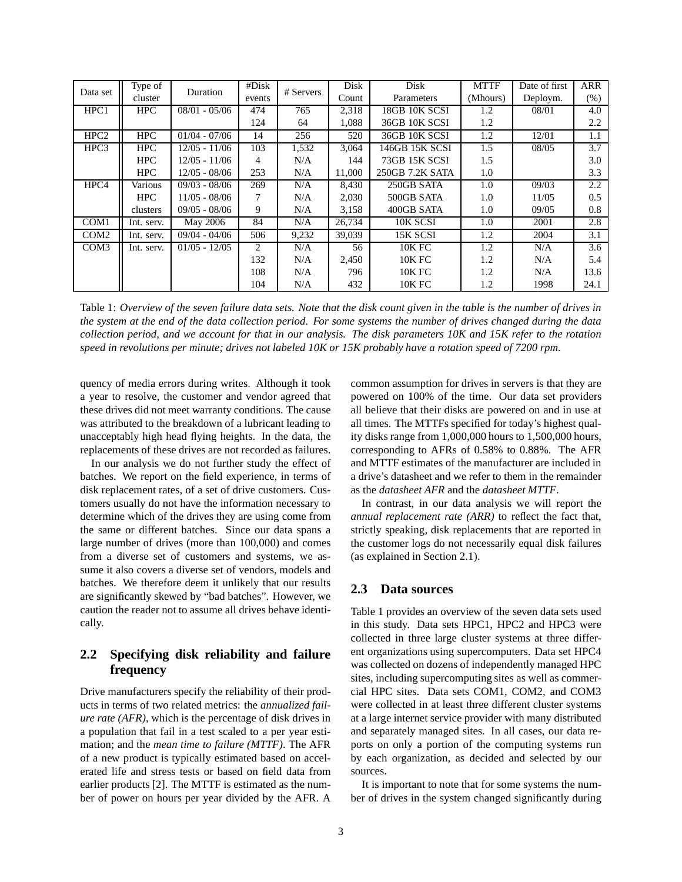| Data set         | Type of    | Duration        | #Disk  | # Servers | Disk   | Disk                 | <b>MTTF</b> | Date of first | <b>ARR</b> |
|------------------|------------|-----------------|--------|-----------|--------|----------------------|-------------|---------------|------------|
|                  | cluster    |                 | events |           | Count  | Parameters           | (Mhours)    | Deploym.      | (% )       |
| HPC1             | <b>HPC</b> | $08/01 - 05/06$ | 474    | 765       | 2.318  | 18GB 10K SCSI        | 1.2         | 08/01         | 4.0        |
|                  |            |                 | 124    | 64        | 1.088  | <b>36GB 10K SCSI</b> | 1.2         |               | 2.2        |
| HPC <sub>2</sub> | <b>HPC</b> | $01/04 - 07/06$ | 14     | 256       | 520    | <b>36GB 10K SCSI</b> | 1.2         | 12/01         | 1.1        |
| HPC3             | <b>HPC</b> | $12/05 - 11/06$ | 103    | 1,532     | 3,064  | 146GB 15K SCSI       | 1.5         | 08/05         | 3.7        |
|                  | <b>HPC</b> | $12/05 - 11/06$ | 4      | N/A       | 144    | <b>73GB 15K SCSI</b> | 1.5         |               | 3.0        |
|                  | <b>HPC</b> | $12/05 - 08/06$ | 253    | N/A       | 11,000 | 250GB 7.2K SATA      | 1.0         |               | 3.3        |
| HPC4             | Various    | $09/03 - 08/06$ | 269    | N/A       | 8,430  | 250GB SATA           | 1.0         | 09/03         | 2.2        |
|                  | <b>HPC</b> | $11/05 - 08/06$ | 7      | N/A       | 2,030  | 500GB SATA           | 1.0         | 11/05         | 0.5        |
|                  | clusters   | $09/05 - 08/06$ | 9      | N/A       | 3,158  | 400GB SATA           | 1.0         | 09/05         | 0.8        |
| COM <sub>1</sub> | Int. serv. | May 2006        | 84     | N/A       | 26,734 | 10K SCSI             | 1.0         | 2001          | 2.8        |
| COM <sub>2</sub> | Int. serv. | $09/04 - 04/06$ | 506    | 9,232     | 39,039 | 15K SCSI             | 1.2         | 2004          | 3.1        |
| COM <sub>3</sub> | Int. serv. | $01/05 - 12/05$ | 2      | N/A       | 56     | <b>10K FC</b>        | 1.2         | N/A           | 3.6        |
|                  |            |                 | 132    | N/A       | 2,450  | <b>10K FC</b>        | 1.2         | N/A           | 5.4        |
|                  |            |                 | 108    | N/A       | 796    | <b>10K FC</b>        | 1.2         | N/A           | 13.6       |
|                  |            |                 | 104    | N/A       | 432    | <b>10K FC</b>        | 1.2         | 1998          | 24.1       |

Table 1: *Overview of the seven failure data sets. Note that the disk count given in the table is the number of drives in the system at the end of the data collection period. For some systems the number of drives changed during the data collection period, and we account for that in our analysis. The disk parameters 10K and 15K refer to the rotation speed in revolutions per minute; drives not labeled 10K or 15K probably have a rotation speed of 7200 rpm.*

quency of media errors during writes. Although it took a year to resolve, the customer and vendor agreed that these drives did not meet warranty conditions. The cause was attributed to the breakdown of a lubricant leading to unacceptably high head flying heights. In the data, the replacements of these drives are not recorded as failures.

In our analysis we do not further study the effect of batches. We report on the field experience, in terms of disk replacement rates, of a set of drive customers. Customers usually do not have the information necessary to determine which of the drives they are using come from the same or different batches. Since our data spans a large number of drives (more than 100,000) and comes from a diverse set of customers and systems, we assume it also covers a diverse set of vendors, models and batches. We therefore deem it unlikely that our results are significantly skewed by "bad batches". However, we caution the reader not to assume all drives behave identically.

## **2.2 Specifying disk reliability and failure frequency**

Drive manufacturers specify the reliability of their products in terms of two related metrics: the *annualized failure rate (AFR)*, which is the percentage of disk drives in a population that fail in a test scaled to a per year estimation; and the *mean time to failure (MTTF)*. The AFR of a new product is typically estimated based on accelerated life and stress tests or based on field data from earlier products [2]. The MTTF is estimated as the number of power on hours per year divided by the AFR. A common assumption for drives in servers is that they are powered on 100% of the time. Our data set providers all believe that their disks are powered on and in use at all times. The MTTFs specified for today's highest quality disks range from 1,000,000 hours to 1,500,000 hours, corresponding to AFRs of 0.58% to 0.88%. The AFR and MTTF estimates of the manufacturer are included in a drive's datasheet and we refer to them in the remainder as the *datasheet AFR* and the *datasheet MTTF*.

In contrast, in our data analysis we will report the *annual replacement rate (ARR)* to reflect the fact that, strictly speaking, disk replacements that are reported in the customer logs do not necessarily equal disk failures (as explained in Section 2.1).

#### **2.3 Data sources**

Table 1 provides an overview of the seven data sets used in this study. Data sets HPC1, HPC2 and HPC3 were collected in three large cluster systems at three different organizations using supercomputers. Data set HPC4 was collected on dozens of independently managed HPC sites, including supercomputing sites as well as commercial HPC sites. Data sets COM1, COM2, and COM3 were collected in at least three different cluster systems at a large internet service provider with many distributed and separately managed sites. In all cases, our data reports on only a portion of the computing systems run by each organization, as decided and selected by our sources.

It is important to note that for some systems the number of drives in the system changed significantly during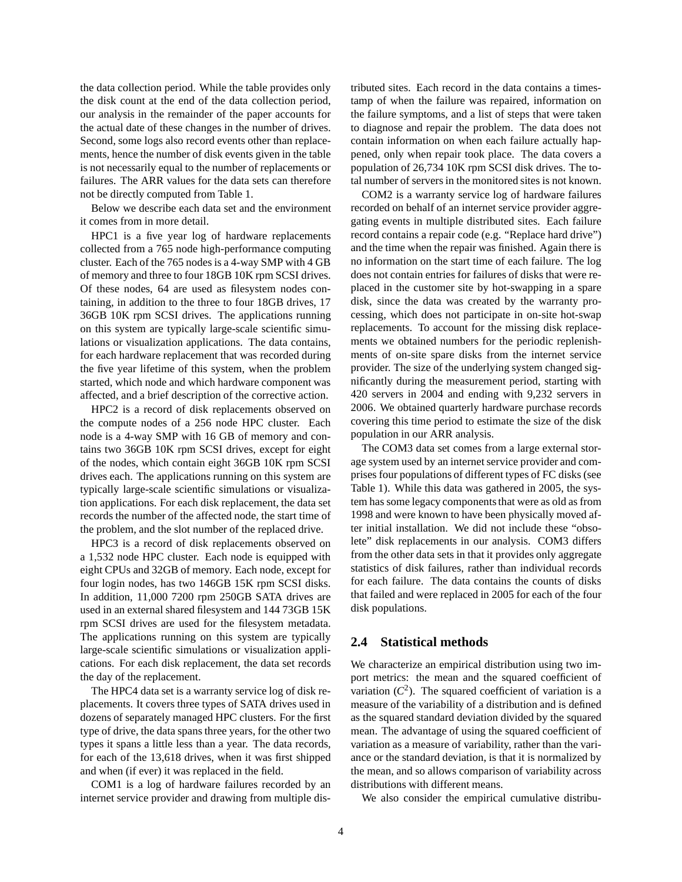the data collection period. While the table provides only the disk count at the end of the data collection period, our analysis in the remainder of the paper accounts for the actual date of these changes in the number of drives. Second, some logs also record events other than replacements, hence the number of disk events given in the table is not necessarily equal to the number of replacements or failures. The ARR values for the data sets can therefore not be directly computed from Table 1.

Below we describe each data set and the environment it comes from in more detail.

HPC1 is a five year log of hardware replacements collected from a 765 node high-performance computing cluster. Each of the 765 nodes is a 4-way SMP with 4 GB of memory and three to four 18GB 10K rpm SCSI drives. Of these nodes, 64 are used as filesystem nodes containing, in addition to the three to four 18GB drives, 17 36GB 10K rpm SCSI drives. The applications running on this system are typically large-scale scientific simulations or visualization applications. The data contains, for each hardware replacement that was recorded during the five year lifetime of this system, when the problem started, which node and which hardware component was affected, and a brief description of the corrective action.

HPC2 is a record of disk replacements observed on the compute nodes of a 256 node HPC cluster. Each node is a 4-way SMP with 16 GB of memory and contains two 36GB 10K rpm SCSI drives, except for eight of the nodes, which contain eight 36GB 10K rpm SCSI drives each. The applications running on this system are typically large-scale scientific simulations or visualization applications. For each disk replacement, the data set records the number of the affected node, the start time of the problem, and the slot number of the replaced drive.

HPC3 is a record of disk replacements observed on a 1,532 node HPC cluster. Each node is equipped with eight CPUs and 32GB of memory. Each node, except for four login nodes, has two 146GB 15K rpm SCSI disks. In addition, 11,000 7200 rpm 250GB SATA drives are used in an external shared filesystem and 144 73GB 15K rpm SCSI drives are used for the filesystem metadata. The applications running on this system are typically large-scale scientific simulations or visualization applications. For each disk replacement, the data set records the day of the replacement.

The HPC4 data set is a warranty service log of disk replacements. It covers three types of SATA drives used in dozens of separately managed HPC clusters. For the first type of drive, the data spans three years, for the other two types it spans a little less than a year. The data records, for each of the 13,618 drives, when it was first shipped and when (if ever) it was replaced in the field.

COM1 is a log of hardware failures recorded by an internet service provider and drawing from multiple distributed sites. Each record in the data contains a timestamp of when the failure was repaired, information on the failure symptoms, and a list of steps that were taken to diagnose and repair the problem. The data does not contain information on when each failure actually happened, only when repair took place. The data covers a population of 26,734 10K rpm SCSI disk drives. The total number of servers in the monitored sites is not known.

COM2 is a warranty service log of hardware failures recorded on behalf of an internet service provider aggregating events in multiple distributed sites. Each failure record contains a repair code (e.g. "Replace hard drive") and the time when the repair was finished. Again there is no information on the start time of each failure. The log does not contain entries for failures of disks that were replaced in the customer site by hot-swapping in a spare disk, since the data was created by the warranty processing, which does not participate in on-site hot-swap replacements. To account for the missing disk replacements we obtained numbers for the periodic replenishments of on-site spare disks from the internet service provider. The size of the underlying system changed significantly during the measurement period, starting with 420 servers in 2004 and ending with 9,232 servers in 2006. We obtained quarterly hardware purchase records covering this time period to estimate the size of the disk population in our ARR analysis.

The COM3 data set comes from a large external storage system used by an internet service provider and comprises four populations of different types of FC disks (see Table 1). While this data was gathered in 2005, the system has some legacy components that were as old as from 1998 and were known to have been physically moved after initial installation. We did not include these "obsolete" disk replacements in our analysis. COM3 differs from the other data sets in that it provides only aggregate statistics of disk failures, rather than individual records for each failure. The data contains the counts of disks that failed and were replaced in 2005 for each of the four disk populations.

## **2.4 Statistical methods**

We characterize an empirical distribution using two import metrics: the mean and the squared coefficient of variation  $(C^2)$ . The squared coefficient of variation is a measure of the variability of a distribution and is defined as the squared standard deviation divided by the squared mean. The advantage of using the squared coefficient of variation as a measure of variability, rather than the variance or the standard deviation, is that it is normalized by the mean, and so allows comparison of variability across distributions with different means.

We also consider the empirical cumulative distribu-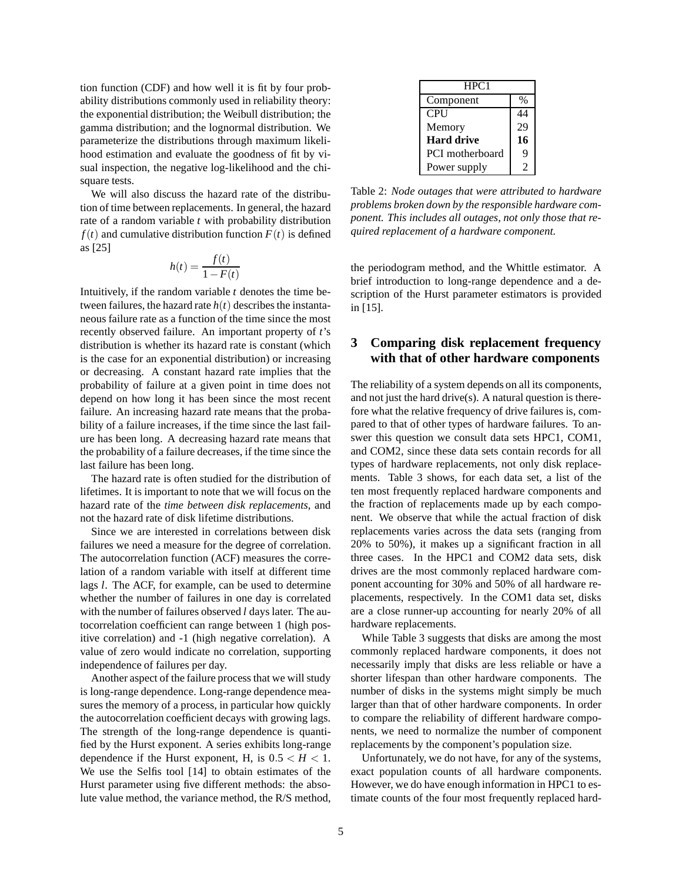tion function (CDF) and how well it is fit by four probability distributions commonly used in reliability theory: the exponential distribution; the Weibull distribution; the gamma distribution; and the lognormal distribution. We parameterize the distributions through maximum likelihood estimation and evaluate the goodness of fit by visual inspection, the negative log-likelihood and the chisquare tests.

We will also discuss the hazard rate of the distribution of time between replacements. In general, the hazard rate of a random variable *t* with probability distribution  $f(t)$  and cumulative distribution function  $F(t)$  is defined as [25]

$$
h(t) = \frac{f(t)}{1 - F(t)}
$$

Intuitively, if the random variable *t* denotes the time between failures, the hazard rate  $h(t)$  describes the instantaneous failure rate as a function of the time since the most recently observed failure. An important property of *t*'s distribution is whether its hazard rate is constant (which is the case for an exponential distribution) or increasing or decreasing. A constant hazard rate implies that the probability of failure at a given point in time does not depend on how long it has been since the most recent failure. An increasing hazard rate means that the probability of a failure increases, if the time since the last failure has been long. A decreasing hazard rate means that the probability of a failure decreases, if the time since the last failure has been long.

The hazard rate is often studied for the distribution of lifetimes. It is important to note that we will focus on the hazard rate of the *time between disk replacements*, and not the hazard rate of disk lifetime distributions.

Since we are interested in correlations between disk failures we need a measure for the degree of correlation. The autocorrelation function (ACF) measures the correlation of a random variable with itself at different time lags *l*. The ACF, for example, can be used to determine whether the number of failures in one day is correlated with the number of failures observed *l* days later. The autocorrelation coefficient can range between 1 (high positive correlation) and -1 (high negative correlation). A value of zero would indicate no correlation, supporting independence of failures per day.

Another aspect of the failure process that we will study is long-range dependence. Long-range dependence measures the memory of a process, in particular how quickly the autocorrelation coefficient decays with growing lags. The strength of the long-range dependence is quantified by the Hurst exponent. A series exhibits long-range dependence if the Hurst exponent, H, is  $0.5 < H < 1$ . We use the Selfis tool [14] to obtain estimates of the Hurst parameter using five different methods: the absolute value method, the variance method, the R/S method,

| HPC <sub>1</sub>  |      |  |  |  |  |
|-------------------|------|--|--|--|--|
| Component         | $\%$ |  |  |  |  |
| <b>CPU</b>        | 44   |  |  |  |  |
| Memory            | 29   |  |  |  |  |
| <b>Hard drive</b> | 16   |  |  |  |  |
| PCI motherboard   | Q    |  |  |  |  |
| Power supply      | 2    |  |  |  |  |

Table 2: *Node outages that were attributed to hardware problems broken down by the responsible hardware component. This includes all outages, not only those that required replacement of a hardware component.*

the periodogram method, and the Whittle estimator. A brief introduction to long-range dependence and a description of the Hurst parameter estimators is provided in [15].

# **3 Comparing disk replacement frequency with that of other hardware components**

The reliability of a system depends on all its components, and not just the hard drive(s). A natural question is therefore what the relative frequency of drive failures is, compared to that of other types of hardware failures. To answer this question we consult data sets HPC1, COM1, and COM2, since these data sets contain records for all types of hardware replacements, not only disk replacements. Table 3 shows, for each data set, a list of the ten most frequently replaced hardware components and the fraction of replacements made up by each component. We observe that while the actual fraction of disk replacements varies across the data sets (ranging from 20% to 50%), it makes up a significant fraction in all three cases. In the HPC1 and COM2 data sets, disk drives are the most commonly replaced hardware component accounting for 30% and 50% of all hardware replacements, respectively. In the COM1 data set, disks are a close runner-up accounting for nearly 20% of all hardware replacements.

While Table 3 suggests that disks are among the most commonly replaced hardware components, it does not necessarily imply that disks are less reliable or have a shorter lifespan than other hardware components. The number of disks in the systems might simply be much larger than that of other hardware components. In order to compare the reliability of different hardware components, we need to normalize the number of component replacements by the component's population size.

Unfortunately, we do not have, for any of the systems, exact population counts of all hardware components. However, we do have enough information in HPC1 to estimate counts of the four most frequently replaced hard-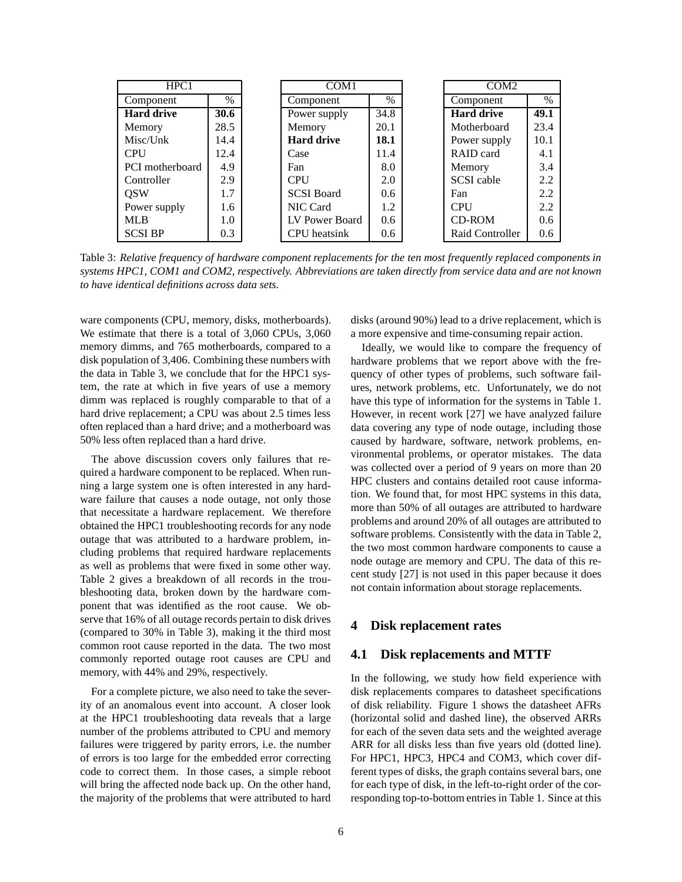| HPC1              |      | COM <sub>1</sub>    |      | COM <sub>2</sub>  |      |
|-------------------|------|---------------------|------|-------------------|------|
| $\%$<br>Component |      | Component           | $\%$ | Component         | $\%$ |
| <b>Hard drive</b> | 30.6 | Power supply        | 34.8 | <b>Hard drive</b> | 49.1 |
| Memory            | 28.5 | Memory              | 20.1 | Motherboard       | 23.4 |
| Misc/Unk          | 14.4 | <b>Hard drive</b>   | 18.1 | Power supply      | 10.1 |
| <b>CPU</b>        | 12.4 | Case                | 11.4 | RAID card         | 4.1  |
| PCI motherboard   | 4.9  | Fan                 | 8.0  | Memory            | 3.4  |
| Controller        | 2.9  | <b>CPU</b>          | 2.0  | <b>SCSI</b> cable | 2.2  |
| <b>OSW</b>        | 1.7  | <b>SCSI</b> Board   | 0.6  | Fan               | 2.2  |
| Power supply      | 1.6  | NIC Card            | 1.2  | <b>CPU</b>        | 2.2  |
| <b>MLB</b>        | 1.0  | LV Power Board      | 0.6  | <b>CD-ROM</b>     | 0.6  |
| <b>SCSI BP</b>    | 0.3  | <b>CPU</b> heatsink | 0.6  | Raid Controller   | 0.6  |

Table 3: *Relative frequency of hardware component replacements for the ten most frequently replaced components in systems HPC1, COM1 and COM2, respectively. Abbreviations are taken directly from service data and are not known to have identical definitions across data sets.*

ware components (CPU, memory, disks, motherboards). We estimate that there is a total of 3,060 CPUs, 3,060 memory dimms, and 765 motherboards, compared to a disk population of 3,406. Combining these numbers with the data in Table 3, we conclude that for the HPC1 system, the rate at which in five years of use a memory dimm was replaced is roughly comparable to that of a hard drive replacement; a CPU was about 2.5 times less often replaced than a hard drive; and a motherboard was 50% less often replaced than a hard drive.

The above discussion covers only failures that required a hardware component to be replaced. When running a large system one is often interested in any hardware failure that causes a node outage, not only those that necessitate a hardware replacement. We therefore obtained the HPC1 troubleshooting records for any node outage that was attributed to a hardware problem, including problems that required hardware replacements as well as problems that were fixed in some other way. Table 2 gives a breakdown of all records in the troubleshooting data, broken down by the hardware component that was identified as the root cause. We observe that 16% of all outage records pertain to disk drives (compared to 30% in Table 3), making it the third most common root cause reported in the data. The two most commonly reported outage root causes are CPU and memory, with 44% and 29%, respectively.

For a complete picture, we also need to take the severity of an anomalous event into account. A closer look at the HPC1 troubleshooting data reveals that a large number of the problems attributed to CPU and memory failures were triggered by parity errors, i.e. the number of errors is too large for the embedded error correcting code to correct them. In those cases, a simple reboot will bring the affected node back up. On the other hand, the majority of the problems that were attributed to hard disks (around 90%) lead to a drive replacement, which is a more expensive and time-consuming repair action.

Ideally, we would like to compare the frequency of hardware problems that we report above with the frequency of other types of problems, such software failures, network problems, etc. Unfortunately, we do not have this type of information for the systems in Table 1. However, in recent work [27] we have analyzed failure data covering any type of node outage, including those caused by hardware, software, network problems, environmental problems, or operator mistakes. The data was collected over a period of 9 years on more than 20 HPC clusters and contains detailed root cause information. We found that, for most HPC systems in this data, more than 50% of all outages are attributed to hardware problems and around 20% of all outages are attributed to software problems. Consistently with the data in Table 2, the two most common hardware components to cause a node outage are memory and CPU. The data of this recent study [27] is not used in this paper because it does not contain information about storage replacements.

#### **4 Disk replacement rates**

#### **4.1 Disk replacements and MTTF**

In the following, we study how field experience with disk replacements compares to datasheet specifications of disk reliability. Figure 1 shows the datasheet AFRs (horizontal solid and dashed line), the observed ARRs for each of the seven data sets and the weighted average ARR for all disks less than five years old (dotted line). For HPC1, HPC3, HPC4 and COM3, which cover different types of disks, the graph contains several bars, one for each type of disk, in the left-to-right order of the corresponding top-to-bottom entries in Table 1. Since at this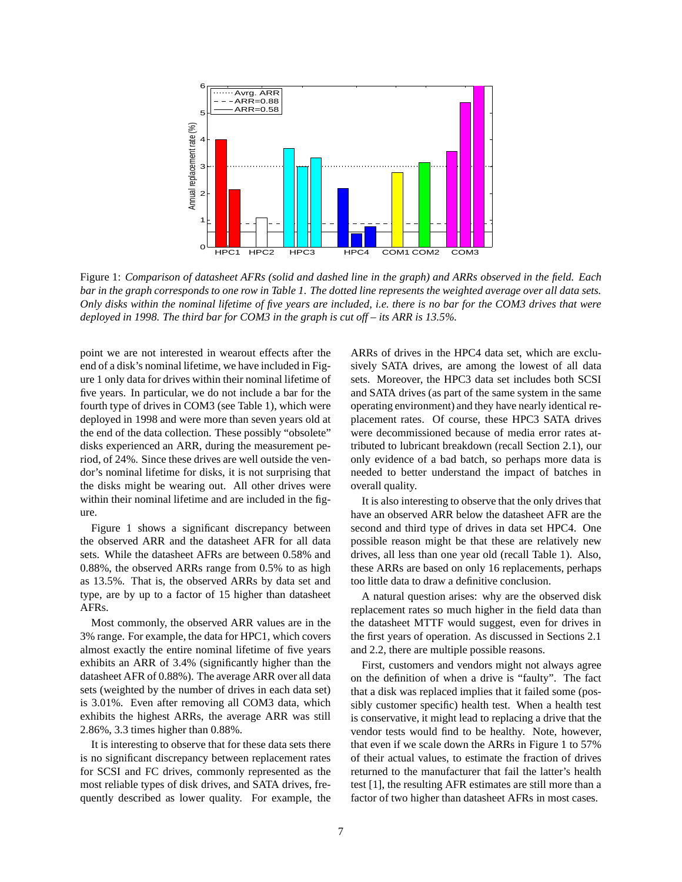

Figure 1: *Comparison of datasheet AFRs (solid and dashed line in the graph) and ARRs observed in the field. Each bar in the graph corresponds to one row in Table 1. The dotted line represents the weighted average over all data sets. Only disks within the nominal lifetime of five years are included, i.e. there is no bar for the COM3 drives that were deployed in 1998. The third bar for COM3 in the graph is cut off – its ARR is 13.5%.*

point we are not interested in wearout effects after the end of a disk's nominal lifetime, we have included in Figure 1 only data for drives within their nominal lifetime of five years. In particular, we do not include a bar for the fourth type of drives in COM3 (see Table 1), which were deployed in 1998 and were more than seven years old at the end of the data collection. These possibly "obsolete" disks experienced an ARR, during the measurement period, of 24%. Since these drives are well outside the vendor's nominal lifetime for disks, it is not surprising that the disks might be wearing out. All other drives were within their nominal lifetime and are included in the figure.

Figure 1 shows a significant discrepancy between the observed ARR and the datasheet AFR for all data sets. While the datasheet AFRs are between 0.58% and 0.88%, the observed ARRs range from 0.5% to as high as 13.5%. That is, the observed ARRs by data set and type, are by up to a factor of 15 higher than datasheet AFRs.

Most commonly, the observed ARR values are in the 3% range. For example, the data for HPC1, which covers almost exactly the entire nominal lifetime of five years exhibits an ARR of 3.4% (significantly higher than the datasheet AFR of 0.88%). The average ARR over all data sets (weighted by the number of drives in each data set) is 3.01%. Even after removing all COM3 data, which exhibits the highest ARRs, the average ARR was still 2.86%, 3.3 times higher than 0.88%.

It is interesting to observe that for these data sets there is no significant discrepancy between replacement rates for SCSI and FC drives, commonly represented as the most reliable types of disk drives, and SATA drives, frequently described as lower quality. For example, the ARRs of drives in the HPC4 data set, which are exclusively SATA drives, are among the lowest of all data sets. Moreover, the HPC3 data set includes both SCSI and SATA drives (as part of the same system in the same operating environment) and they have nearly identical replacement rates. Of course, these HPC3 SATA drives were decommissioned because of media error rates attributed to lubricant breakdown (recall Section 2.1), our only evidence of a bad batch, so perhaps more data is needed to better understand the impact of batches in overall quality.

It is also interesting to observe that the only drives that have an observed ARR below the datasheet AFR are the second and third type of drives in data set HPC4. One possible reason might be that these are relatively new drives, all less than one year old (recall Table 1). Also, these ARRs are based on only 16 replacements, perhaps too little data to draw a definitive conclusion.

A natural question arises: why are the observed disk replacement rates so much higher in the field data than the datasheet MTTF would suggest, even for drives in the first years of operation. As discussed in Sections 2.1 and 2.2, there are multiple possible reasons.

First, customers and vendors might not always agree on the definition of when a drive is "faulty". The fact that a disk was replaced implies that it failed some (possibly customer specific) health test. When a health test is conservative, it might lead to replacing a drive that the vendor tests would find to be healthy. Note, however, that even if we scale down the ARRs in Figure 1 to 57% of their actual values, to estimate the fraction of drives returned to the manufacturer that fail the latter's health test [1], the resulting AFR estimates are still more than a factor of two higher than datasheet AFRs in most cases.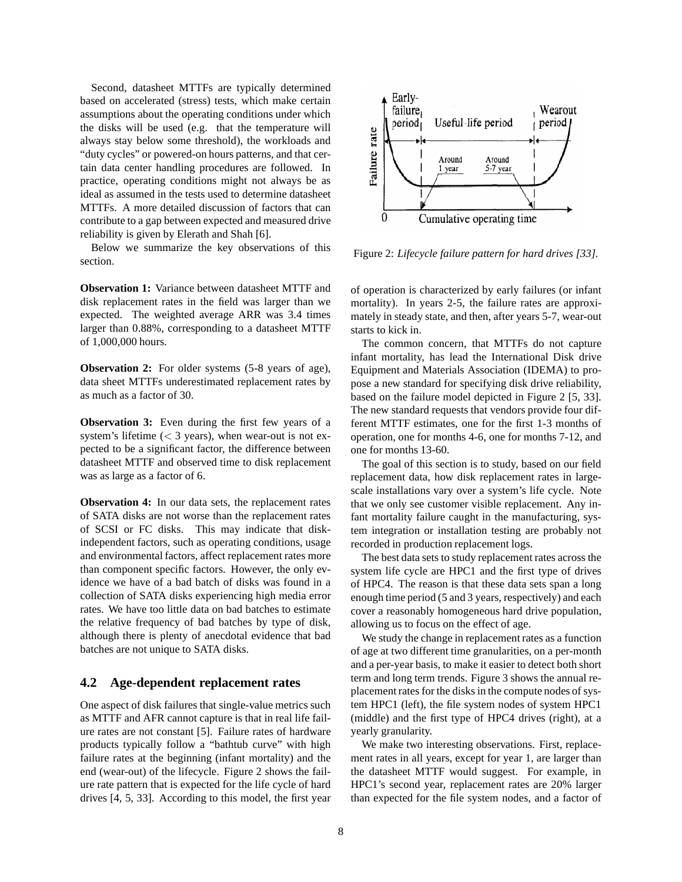Second, datasheet MTTFs are typically determined based on accelerated (stress) tests, which make certain assumptions about the operating conditions under which the disks will be used (e.g. that the temperature will always stay below some threshold), the workloads and "duty cycles" or powered-on hours patterns, and that certain data center handling procedures are followed. In practice, operating conditions might not always be as ideal as assumed in the tests used to determine datasheet MTTFs. A more detailed discussion of factors that can contribute to a gap between expected and measured drive reliability is given by Elerath and Shah [6].

Below we summarize the key observations of this section.

**Observation 1:** Variance between datasheet MTTF and disk replacement rates in the field was larger than we expected. The weighted average ARR was 3.4 times larger than 0.88%, corresponding to a datasheet MTTF of 1,000,000 hours.

**Observation 2:** For older systems (5-8 years of age), data sheet MTTFs underestimated replacement rates by as much as a factor of 30.

**Observation 3:** Even during the first few years of a system's lifetime  $(< 3$  years), when wear-out is not expected to be a significant factor, the difference between datasheet MTTF and observed time to disk replacement was as large as a factor of 6.

**Observation 4:** In our data sets, the replacement rates of SATA disks are not worse than the replacement rates of SCSI or FC disks. This may indicate that diskindependent factors, such as operating conditions, usage and environmental factors, affect replacement rates more than component specific factors. However, the only evidence we have of a bad batch of disks was found in a collection of SATA disks experiencing high media error rates. We have too little data on bad batches to estimate the relative frequency of bad batches by type of disk, although there is plenty of anecdotal evidence that bad batches are not unique to SATA disks.

#### **4.2 Age-dependent replacement rates**

One aspect of disk failures that single-value metrics such as MTTF and AFR cannot capture is that in real life failure rates are not constant [5]. Failure rates of hardware products typically follow a "bathtub curve" with high failure rates at the beginning (infant mortality) and the end (wear-out) of the lifecycle. Figure 2 shows the failure rate pattern that is expected for the life cycle of hard drives [4, 5, 33]. According to this model, the first year



Figure 2: *Lifecycle failure pattern for hard drives [33].*

of operation is characterized by early failures (or infant mortality). In years 2-5, the failure rates are approximately in steady state, and then, after years 5-7, wear-out starts to kick in.

The common concern, that MTTFs do not capture infant mortality, has lead the International Disk drive Equipment and Materials Association (IDEMA) to propose a new standard for specifying disk drive reliability, based on the failure model depicted in Figure 2 [5, 33]. The new standard requests that vendors provide four different MTTF estimates, one for the first 1-3 months of operation, one for months 4-6, one for months 7-12, and one for months 13-60.

The goal of this section is to study, based on our field replacement data, how disk replacement rates in largescale installations vary over a system's life cycle. Note that we only see customer visible replacement. Any infant mortality failure caught in the manufacturing, system integration or installation testing are probably not recorded in production replacement logs.

The best data sets to study replacement rates across the system life cycle are HPC1 and the first type of drives of HPC4. The reason is that these data sets span a long enough time period (5 and 3 years, respectively) and each cover a reasonably homogeneous hard drive population, allowing us to focus on the effect of age.

We study the change in replacement rates as a function of age at two different time granularities, on a per-month and a per-year basis, to make it easier to detect both short term and long term trends. Figure 3 shows the annual replacement rates for the disks in the compute nodes of system HPC1 (left), the file system nodes of system HPC1 (middle) and the first type of HPC4 drives (right), at a yearly granularity.

We make two interesting observations. First, replacement rates in all years, except for year 1, are larger than the datasheet MTTF would suggest. For example, in HPC1's second year, replacement rates are 20% larger than expected for the file system nodes, and a factor of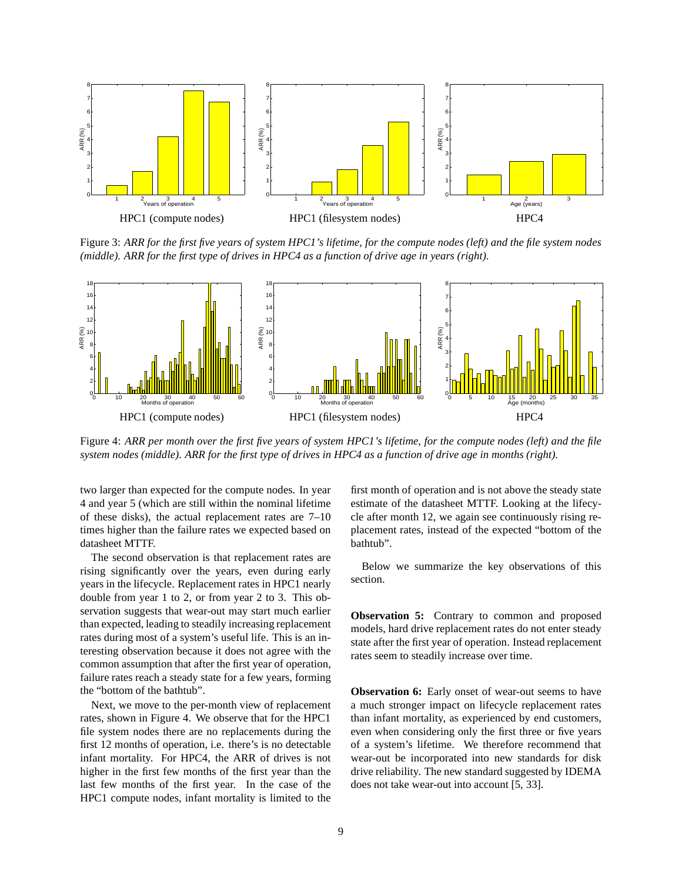

Figure 3: *ARR for the first five years of system HPC1's lifetime, for the compute nodes (left) and the file system nodes (middle). ARR for the first type of drives in HPC4 as a function of drive age in years (right).*



Figure 4: *ARR per month over the first five years of system HPC1's lifetime, for the compute nodes (left) and the file system nodes (middle). ARR for the first type of drives in HPC4 as a function of drive age in months (right).*

two larger than expected for the compute nodes. In year 4 and year 5 (which are still within the nominal lifetime of these disks), the actual replacement rates are 7–10 times higher than the failure rates we expected based on datasheet MTTF.

The second observation is that replacement rates are rising significantly over the years, even during early years in the lifecycle. Replacement rates in HPC1 nearly double from year 1 to 2, or from year 2 to 3. This observation suggests that wear-out may start much earlier than expected, leading to steadily increasing replacement rates during most of a system's useful life. This is an interesting observation because it does not agree with the common assumption that after the first year of operation, failure rates reach a steady state for a few years, forming the "bottom of the bathtub".

Next, we move to the per-month view of replacement rates, shown in Figure 4. We observe that for the HPC1 file system nodes there are no replacements during the first 12 months of operation, i.e. there's is no detectable infant mortality. For HPC4, the ARR of drives is not higher in the first few months of the first year than the last few months of the first year. In the case of the HPC1 compute nodes, infant mortality is limited to the

first month of operation and is not above the steady state estimate of the datasheet MTTF. Looking at the lifecycle after month 12, we again see continuously rising replacement rates, instead of the expected "bottom of the bathtub".

Below we summarize the key observations of this section.

**Observation 5:** Contrary to common and proposed models, hard drive replacement rates do not enter steady state after the first year of operation. Instead replacement rates seem to steadily increase over time.

**Observation 6:** Early onset of wear-out seems to have a much stronger impact on lifecycle replacement rates than infant mortality, as experienced by end customers, even when considering only the first three or five years of a system's lifetime. We therefore recommend that wear-out be incorporated into new standards for disk drive reliability. The new standard suggested by IDEMA does not take wear-out into account [5, 33].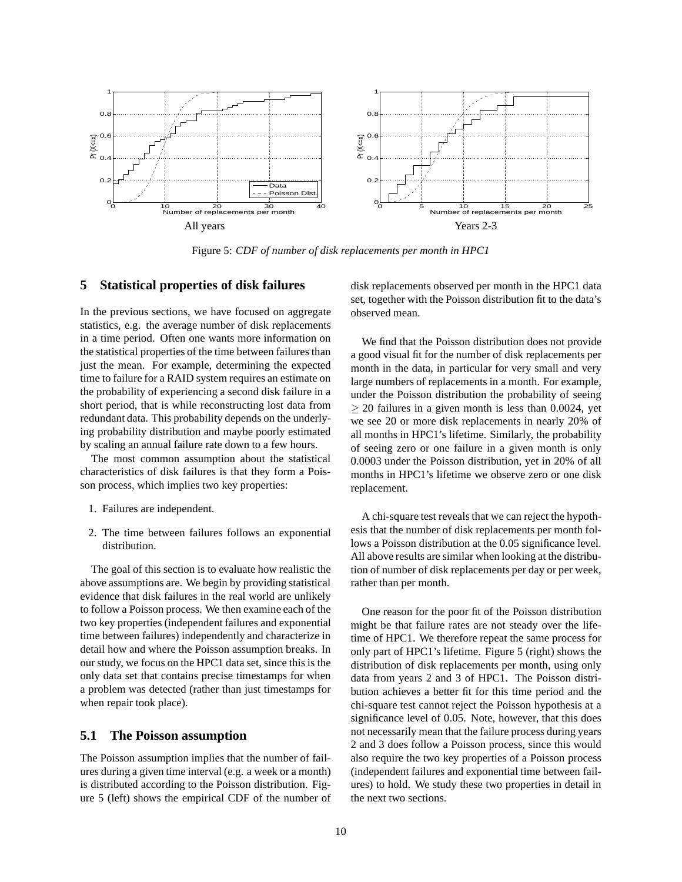

Figure 5: *CDF of number of disk replacements per month in HPC1*

#### **5 Statistical properties of disk failures**

In the previous sections, we have focused on aggregate statistics, e.g. the average number of disk replacements in a time period. Often one wants more information on the statistical properties of the time between failures than just the mean. For example, determining the expected time to failure for a RAID system requires an estimate on the probability of experiencing a second disk failure in a short period, that is while reconstructing lost data from redundant data. This probability depends on the underlying probability distribution and maybe poorly estimated by scaling an annual failure rate down to a few hours.

The most common assumption about the statistical characteristics of disk failures is that they form a Poisson process, which implies two key properties:

- 1. Failures are independent.
- 2. The time between failures follows an exponential distribution.

The goal of this section is to evaluate how realistic the above assumptions are. We begin by providing statistical evidence that disk failures in the real world are unlikely to follow a Poisson process. We then examine each of the two key properties (independent failures and exponential time between failures) independently and characterize in detail how and where the Poisson assumption breaks. In our study, we focus on the HPC1 data set, since this is the only data set that contains precise timestamps for when a problem was detected (rather than just timestamps for when repair took place).

#### **5.1 The Poisson assumption**

The Poisson assumption implies that the number of failures during a given time interval (e.g. a week or a month) is distributed according to the Poisson distribution. Figure 5 (left) shows the empirical CDF of the number of disk replacements observed per month in the HPC1 data set, together with the Poisson distribution fit to the data's observed mean.

We find that the Poisson distribution does not provide a good visual fit for the number of disk replacements per month in the data, in particular for very small and very large numbers of replacements in a month. For example, under the Poisson distribution the probability of seeing  $>$  20 failures in a given month is less than 0.0024, yet we see 20 or more disk replacements in nearly 20% of all months in HPC1's lifetime. Similarly, the probability of seeing zero or one failure in a given month is only 0.0003 under the Poisson distribution, yet in 20% of all months in HPC1's lifetime we observe zero or one disk replacement.

A chi-square test reveals that we can reject the hypothesis that the number of disk replacements per month follows a Poisson distribution at the 0.05 significance level. All above results are similar when looking at the distribution of number of disk replacements per day or per week, rather than per month.

One reason for the poor fit of the Poisson distribution might be that failure rates are not steady over the lifetime of HPC1. We therefore repeat the same process for only part of HPC1's lifetime. Figure 5 (right) shows the distribution of disk replacements per month, using only data from years 2 and 3 of HPC1. The Poisson distribution achieves a better fit for this time period and the chi-square test cannot reject the Poisson hypothesis at a significance level of 0.05. Note, however, that this does not necessarily mean that the failure process during years 2 and 3 does follow a Poisson process, since this would also require the two key properties of a Poisson process (independent failures and exponential time between failures) to hold. We study these two properties in detail in the next two sections.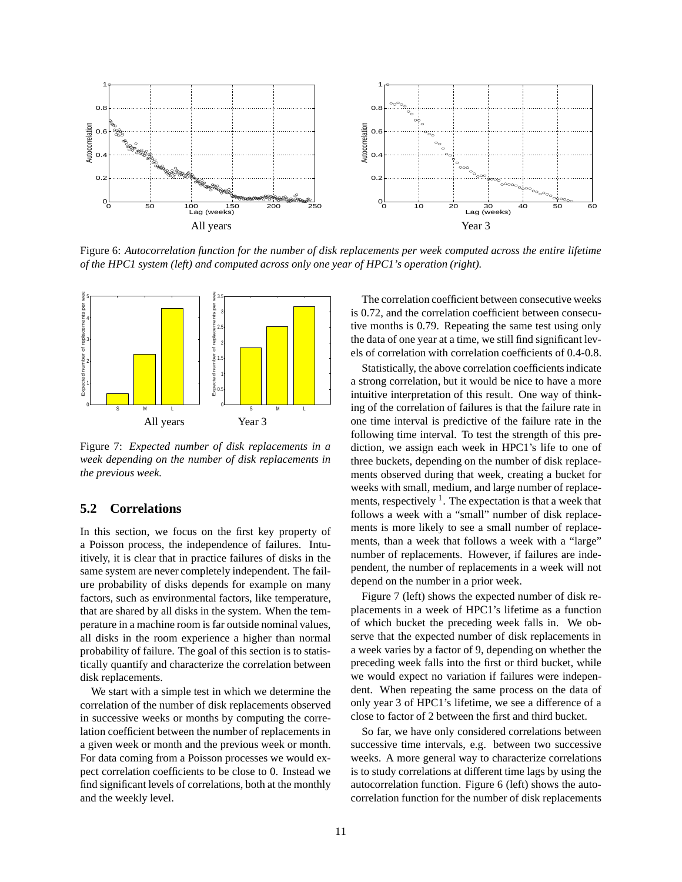

Figure 6: *Autocorrelation function for the number of disk replacements per week computed across the entire lifetime of the HPC1 system (left) and computed across only one year of HPC1's operation (right).*



Figure 7: *Expected number of disk replacements in a week depending on the number of disk replacements in the previous week.*

### **5.2 Correlations**

In this section, we focus on the first key property of a Poisson process, the independence of failures. Intuitively, it is clear that in practice failures of disks in the same system are never completely independent. The failure probability of disks depends for example on many factors, such as environmental factors, like temperature, that are shared by all disks in the system. When the temperature in a machine room is far outside nominal values, all disks in the room experience a higher than normal probability of failure. The goal of this section is to statistically quantify and characterize the correlation between disk replacements.

We start with a simple test in which we determine the correlation of the number of disk replacements observed in successive weeks or months by computing the correlation coefficient between the number of replacements in a given week or month and the previous week or month. For data coming from a Poisson processes we would expect correlation coefficients to be close to 0. Instead we find significant levels of correlations, both at the monthly and the weekly level.

The correlation coefficient between consecutive weeks is 0.72, and the correlation coefficient between consecutive months is 0.79. Repeating the same test using only the data of one year at a time, we still find significant levels of correlation with correlation coefficients of 0.4-0.8.

Statistically, the above correlation coefficients indicate a strong correlation, but it would be nice to have a more intuitive interpretation of this result. One way of thinking of the correlation of failures is that the failure rate in one time interval is predictive of the failure rate in the following time interval. To test the strength of this prediction, we assign each week in HPC1's life to one of three buckets, depending on the number of disk replacements observed during that week, creating a bucket for weeks with small, medium, and large number of replacements, respectively <sup>1</sup>. The expectation is that a week that follows a week with a "small" number of disk replacements is more likely to see a small number of replacements, than a week that follows a week with a "large" number of replacements. However, if failures are independent, the number of replacements in a week will not depend on the number in a prior week.

Figure 7 (left) shows the expected number of disk replacements in a week of HPC1's lifetime as a function of which bucket the preceding week falls in. We observe that the expected number of disk replacements in a week varies by a factor of 9, depending on whether the preceding week falls into the first or third bucket, while we would expect no variation if failures were independent. When repeating the same process on the data of only year 3 of HPC1's lifetime, we see a difference of a close to factor of 2 between the first and third bucket.

So far, we have only considered correlations between successive time intervals, e.g. between two successive weeks. A more general way to characterize correlations is to study correlations at different time lags by using the autocorrelation function. Figure 6 (left) shows the autocorrelation function for the number of disk replacements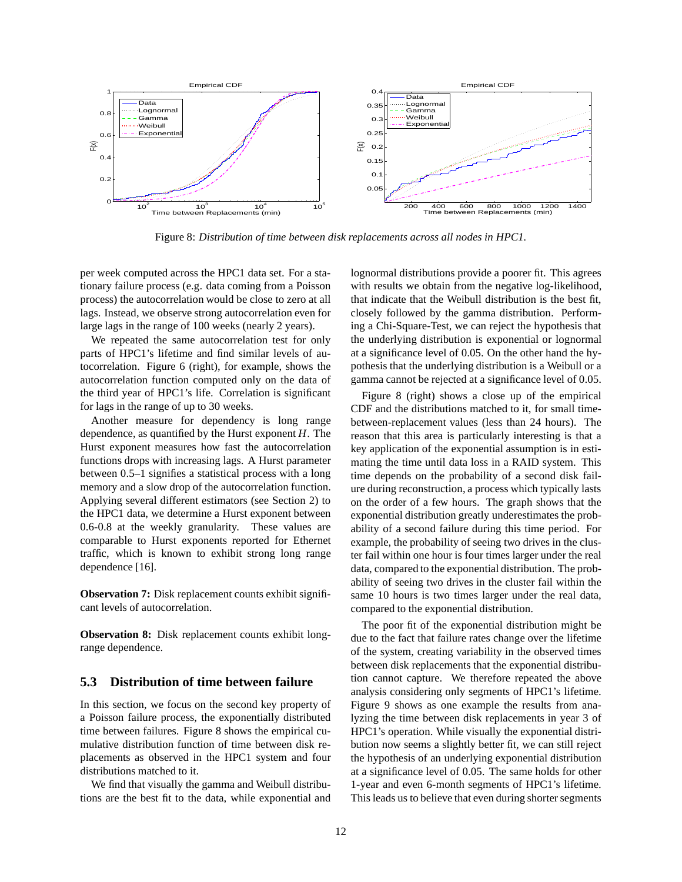

Figure 8: *Distribution of time between disk replacements across all nodes in HPC1.*

per week computed across the HPC1 data set. For a stationary failure process (e.g. data coming from a Poisson process) the autocorrelation would be close to zero at all lags. Instead, we observe strong autocorrelation even for large lags in the range of 100 weeks (nearly 2 years).

We repeated the same autocorrelation test for only parts of HPC1's lifetime and find similar levels of autocorrelation. Figure 6 (right), for example, shows the autocorrelation function computed only on the data of the third year of HPC1's life. Correlation is significant for lags in the range of up to 30 weeks.

Another measure for dependency is long range dependence, as quantified by the Hurst exponent *H*. The Hurst exponent measures how fast the autocorrelation functions drops with increasing lags. A Hurst parameter between 0.5–1 signifies a statistical process with a long memory and a slow drop of the autocorrelation function. Applying several different estimators (see Section 2) to the HPC1 data, we determine a Hurst exponent between 0.6-0.8 at the weekly granularity. These values are comparable to Hurst exponents reported for Ethernet traffic, which is known to exhibit strong long range dependence [16].

**Observation 7:** Disk replacement counts exhibit significant levels of autocorrelation.

**Observation 8:** Disk replacement counts exhibit longrange dependence.

#### **5.3 Distribution of time between failure**

In this section, we focus on the second key property of a Poisson failure process, the exponentially distributed time between failures. Figure 8 shows the empirical cumulative distribution function of time between disk replacements as observed in the HPC1 system and four distributions matched to it.

We find that visually the gamma and Weibull distributions are the best fit to the data, while exponential and lognormal distributions provide a poorer fit. This agrees with results we obtain from the negative log-likelihood, that indicate that the Weibull distribution is the best fit, closely followed by the gamma distribution. Performing a Chi-Square-Test, we can reject the hypothesis that the underlying distribution is exponential or lognormal at a significance level of 0.05. On the other hand the hypothesis that the underlying distribution is a Weibull or a gamma cannot be rejected at a significance level of 0.05.

Figure 8 (right) shows a close up of the empirical CDF and the distributions matched to it, for small timebetween-replacement values (less than 24 hours). The reason that this area is particularly interesting is that a key application of the exponential assumption is in estimating the time until data loss in a RAID system. This time depends on the probability of a second disk failure during reconstruction, a process which typically lasts on the order of a few hours. The graph shows that the exponential distribution greatly underestimates the probability of a second failure during this time period. For example, the probability of seeing two drives in the cluster fail within one hour is four times larger under the real data, compared to the exponential distribution. The probability of seeing two drives in the cluster fail within the same 10 hours is two times larger under the real data, compared to the exponential distribution.

The poor fit of the exponential distribution might be due to the fact that failure rates change over the lifetime of the system, creating variability in the observed times between disk replacements that the exponential distribution cannot capture. We therefore repeated the above analysis considering only segments of HPC1's lifetime. Figure 9 shows as one example the results from analyzing the time between disk replacements in year 3 of HPC1's operation. While visually the exponential distribution now seems a slightly better fit, we can still reject the hypothesis of an underlying exponential distribution at a significance level of 0.05. The same holds for other 1-year and even 6-month segments of HPC1's lifetime. This leads us to believe that even during shorter segments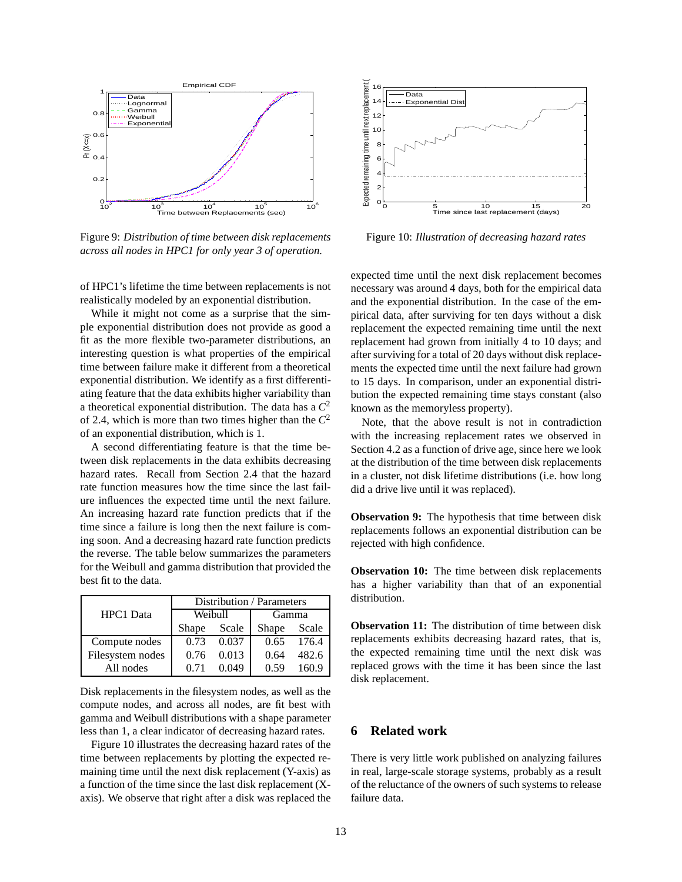

Figure 9: *Distribution of time between disk replacements across all nodes in HPC1 for only year 3 of operation.*

of HPC1's lifetime the time between replacements is not realistically modeled by an exponential distribution.

While it might not come as a surprise that the simple exponential distribution does not provide as good a fit as the more flexible two-parameter distributions, an interesting question is what properties of the empirical time between failure make it different from a theoretical exponential distribution. We identify as a first differentiating feature that the data exhibits higher variability than a theoretical exponential distribution. The data has a *C* 2 of 2.4, which is more than two times higher than the *C* 2 of an exponential distribution, which is 1.

A second differentiating feature is that the time between disk replacements in the data exhibits decreasing hazard rates. Recall from Section 2.4 that the hazard rate function measures how the time since the last failure influences the expected time until the next failure. An increasing hazard rate function predicts that if the time since a failure is long then the next failure is coming soon. And a decreasing hazard rate function predicts the reverse. The table below summarizes the parameters for the Weibull and gamma distribution that provided the best fit to the data.

|                  | Distribution / Parameters |         |             |              |  |  |
|------------------|---------------------------|---------|-------------|--------------|--|--|
| HPC1 Data        |                           | Weibull | Gamma       |              |  |  |
|                  | Shape Scale               |         | Shape Scale |              |  |  |
| Compute nodes    | 0.73                      | 0.037   |             | $0.65$ 176.4 |  |  |
| Filesystem nodes | 0.76                      | 0.013   | 0.64        | 482.6        |  |  |
| All nodes        | 0.71                      | 0.049   | 0.59        | 160.9        |  |  |

Disk replacements in the filesystem nodes, as well as the compute nodes, and across all nodes, are fit best with gamma and Weibull distributions with a shape parameter less than 1, a clear indicator of decreasing hazard rates.

Figure 10 illustrates the decreasing hazard rates of the time between replacements by plotting the expected remaining time until the next disk replacement (Y-axis) as a function of the time since the last disk replacement (Xaxis). We observe that right after a disk was replaced the



Figure 10: *Illustration of decreasing hazard rates*

expected time until the next disk replacement becomes necessary was around 4 days, both for the empirical data and the exponential distribution. In the case of the empirical data, after surviving for ten days without a disk replacement the expected remaining time until the next replacement had grown from initially 4 to 10 days; and after surviving for a total of 20 days without disk replacements the expected time until the next failure had grown to 15 days. In comparison, under an exponential distribution the expected remaining time stays constant (also known as the memoryless property).

Note, that the above result is not in contradiction with the increasing replacement rates we observed in Section 4.2 as a function of drive age, since here we look at the distribution of the time between disk replacements in a cluster, not disk lifetime distributions (i.e. how long did a drive live until it was replaced).

**Observation 9:** The hypothesis that time between disk replacements follows an exponential distribution can be rejected with high confidence.

**Observation 10:** The time between disk replacements has a higher variability than that of an exponential distribution.

**Observation 11:** The distribution of time between disk replacements exhibits decreasing hazard rates, that is, the expected remaining time until the next disk was replaced grows with the time it has been since the last disk replacement.

## **6 Related work**

There is very little work published on analyzing failures in real, large-scale storage systems, probably as a result of the reluctance of the owners of such systems to release failure data.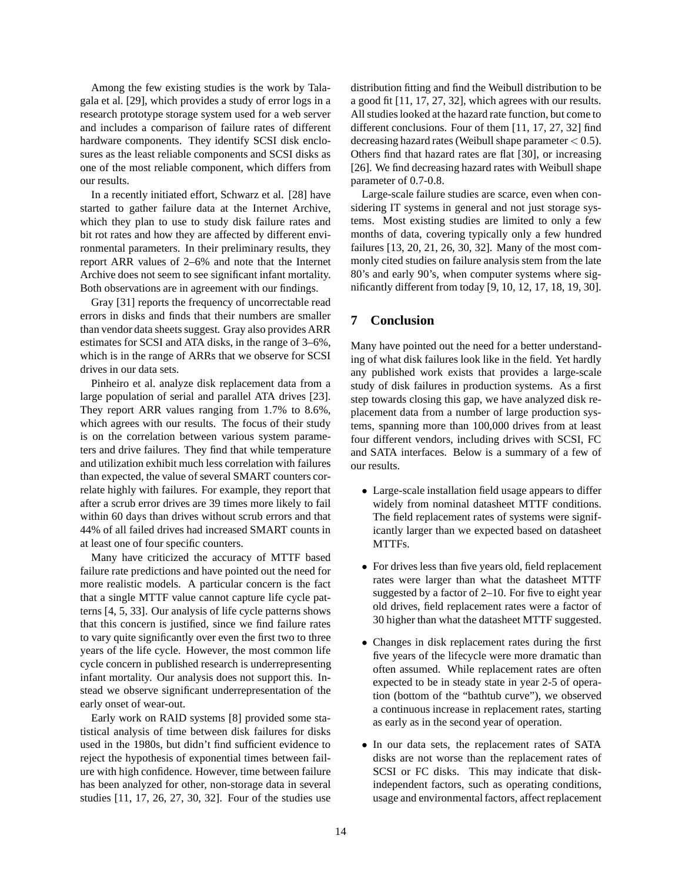Among the few existing studies is the work by Talagala et al. [29], which provides a study of error logs in a research prototype storage system used for a web server and includes a comparison of failure rates of different hardware components. They identify SCSI disk enclosures as the least reliable components and SCSI disks as one of the most reliable component, which differs from our results.

In a recently initiated effort, Schwarz et al. [28] have started to gather failure data at the Internet Archive, which they plan to use to study disk failure rates and bit rot rates and how they are affected by different environmental parameters. In their preliminary results, they report ARR values of 2–6% and note that the Internet Archive does not seem to see significant infant mortality. Both observations are in agreement with our findings.

Gray [31] reports the frequency of uncorrectable read errors in disks and finds that their numbers are smaller than vendor data sheets suggest. Gray also provides ARR estimates for SCSI and ATA disks, in the range of 3–6%, which is in the range of ARRs that we observe for SCSI drives in our data sets.

Pinheiro et al. analyze disk replacement data from a large population of serial and parallel ATA drives [23]. They report ARR values ranging from 1.7% to 8.6%, which agrees with our results. The focus of their study is on the correlation between various system parameters and drive failures. They find that while temperature and utilization exhibit much less correlation with failures than expected, the value of several SMART counters correlate highly with failures. For example, they report that after a scrub error drives are 39 times more likely to fail within 60 days than drives without scrub errors and that 44% of all failed drives had increased SMART counts in at least one of four specific counters.

Many have criticized the accuracy of MTTF based failure rate predictions and have pointed out the need for more realistic models. A particular concern is the fact that a single MTTF value cannot capture life cycle patterns [4, 5, 33]. Our analysis of life cycle patterns shows that this concern is justified, since we find failure rates to vary quite significantly over even the first two to three years of the life cycle. However, the most common life cycle concern in published research is underrepresenting infant mortality. Our analysis does not support this. Instead we observe significant underrepresentation of the early onset of wear-out.

Early work on RAID systems [8] provided some statistical analysis of time between disk failures for disks used in the 1980s, but didn't find sufficient evidence to reject the hypothesis of exponential times between failure with high confidence. However, time between failure has been analyzed for other, non-storage data in several studies [11, 17, 26, 27, 30, 32]. Four of the studies use distribution fitting and find the Weibull distribution to be a good fit [11, 17, 27, 32], which agrees with our results. All studies looked at the hazard rate function, but come to different conclusions. Four of them [11, 17, 27, 32] find decreasing hazard rates (Weibull shape parameter  $< 0.5$ ). Others find that hazard rates are flat [30], or increasing [26]. We find decreasing hazard rates with Weibull shape parameter of 0.7-0.8.

Large-scale failure studies are scarce, even when considering IT systems in general and not just storage systems. Most existing studies are limited to only a few months of data, covering typically only a few hundred failures [13, 20, 21, 26, 30, 32]. Many of the most commonly cited studies on failure analysis stem from the late 80's and early 90's, when computer systems where significantly different from today [9, 10, 12, 17, 18, 19, 30].

#### **7 Conclusion**

Many have pointed out the need for a better understanding of what disk failures look like in the field. Yet hardly any published work exists that provides a large-scale study of disk failures in production systems. As a first step towards closing this gap, we have analyzed disk replacement data from a number of large production systems, spanning more than 100,000 drives from at least four different vendors, including drives with SCSI, FC and SATA interfaces. Below is a summary of a few of our results.

- Large-scale installation field usage appears to differ widely from nominal datasheet MTTF conditions. The field replacement rates of systems were significantly larger than we expected based on datasheet MTTFs.
- For drives less than five years old, field replacement rates were larger than what the datasheet MTTF suggested by a factor of 2–10. For five to eight year old drives, field replacement rates were a factor of 30 higher than what the datasheet MTTF suggested.
- Changes in disk replacement rates during the first five years of the lifecycle were more dramatic than often assumed. While replacement rates are often expected to be in steady state in year 2-5 of operation (bottom of the "bathtub curve"), we observed a continuous increase in replacement rates, starting as early as in the second year of operation.
- In our data sets, the replacement rates of SATA disks are not worse than the replacement rates of SCSI or FC disks. This may indicate that diskindependent factors, such as operating conditions, usage and environmental factors, affect replacement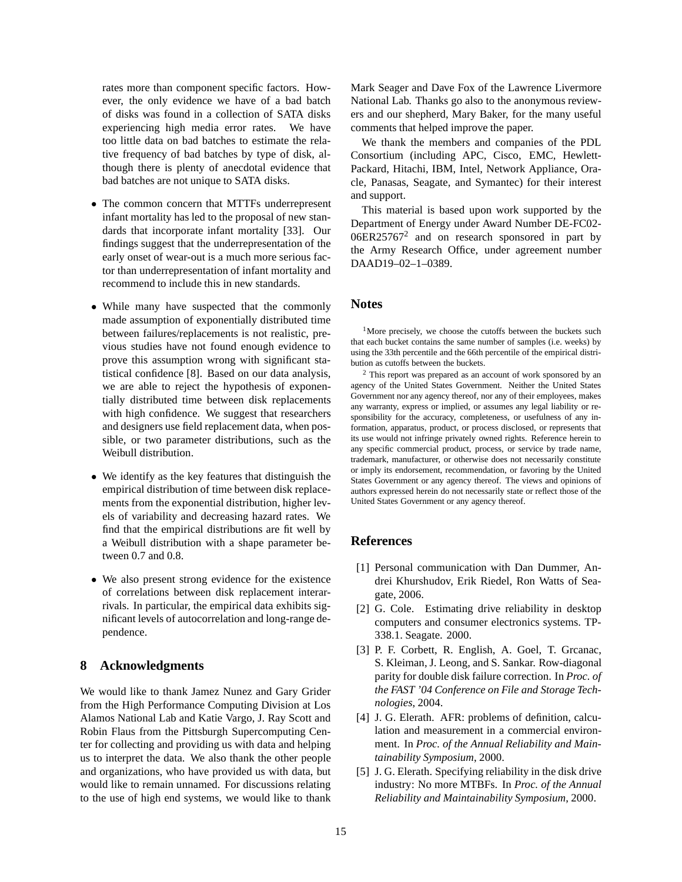rates more than component specific factors. However, the only evidence we have of a bad batch of disks was found in a collection of SATA disks experiencing high media error rates. We have too little data on bad batches to estimate the relative frequency of bad batches by type of disk, although there is plenty of anecdotal evidence that bad batches are not unique to SATA disks.

- The common concern that MTTFs underrepresent infant mortality has led to the proposal of new standards that incorporate infant mortality [33]. Our findings suggest that the underrepresentation of the early onset of wear-out is a much more serious factor than underrepresentation of infant mortality and recommend to include this in new standards.
- While many have suspected that the commonly made assumption of exponentially distributed time between failures/replacements is not realistic, previous studies have not found enough evidence to prove this assumption wrong with significant statistical confidence [8]. Based on our data analysis, we are able to reject the hypothesis of exponentially distributed time between disk replacements with high confidence. We suggest that researchers and designers use field replacement data, when possible, or two parameter distributions, such as the Weibull distribution.
- We identify as the key features that distinguish the empirical distribution of time between disk replacements from the exponential distribution, higher levels of variability and decreasing hazard rates. We find that the empirical distributions are fit well by a Weibull distribution with a shape parameter between 0.7 and 0.8.
- We also present strong evidence for the existence of correlations between disk replacement interarrivals. In particular, the empirical data exhibits significant levels of autocorrelation and long-range dependence.

#### **8 Acknowledgments**

We would like to thank Jamez Nunez and Gary Grider from the High Performance Computing Division at Los Alamos National Lab and Katie Vargo, J. Ray Scott and Robin Flaus from the Pittsburgh Supercomputing Center for collecting and providing us with data and helping us to interpret the data. We also thank the other people and organizations, who have provided us with data, but would like to remain unnamed. For discussions relating to the use of high end systems, we would like to thank Mark Seager and Dave Fox of the Lawrence Livermore National Lab. Thanks go also to the anonymous reviewers and our shepherd, Mary Baker, for the many useful comments that helped improve the paper.

We thank the members and companies of the PDL Consortium (including APC, Cisco, EMC, Hewlett-Packard, Hitachi, IBM, Intel, Network Appliance, Oracle, Panasas, Seagate, and Symantec) for their interest and support.

This material is based upon work supported by the Department of Energy under Award Number DE-FC02-  $06ER25767<sup>2</sup>$  and on research sponsored in part by the Army Research Office, under agreement number DAAD19–02–1–0389.

#### **Notes**

<sup>1</sup>More precisely, we choose the cutoffs between the buckets such that each bucket contains the same number of samples (i.e. weeks) by using the 33th percentile and the 66th percentile of the empirical distribution as cutoffs between the buckets.

<sup>2</sup> This report was prepared as an account of work sponsored by an agency of the United States Government. Neither the United States Government nor any agency thereof, nor any of their employees, makes any warranty, express or implied, or assumes any legal liability or responsibility for the accuracy, completeness, or usefulness of any information, apparatus, product, or process disclosed, or represents that its use would not infringe privately owned rights. Reference herein to any specific commercial product, process, or service by trade name, trademark, manufacturer, or otherwise does not necessarily constitute or imply its endorsement, recommendation, or favoring by the United States Government or any agency thereof. The views and opinions of authors expressed herein do not necessarily state or reflect those of the United States Government or any agency thereof.

#### **References**

- [1] Personal communication with Dan Dummer, Andrei Khurshudov, Erik Riedel, Ron Watts of Seagate, 2006.
- [2] G. Cole. Estimating drive reliability in desktop computers and consumer electronics systems. TP-338.1. Seagate. 2000.
- [3] P. F. Corbett, R. English, A. Goel, T. Grcanac, S. Kleiman, J. Leong, and S. Sankar. Row-diagonal parity for double disk failure correction. In *Proc. of the FAST '04 Conference on File and Storage Technologies*, 2004.
- [4] J. G. Elerath. AFR: problems of definition, calculation and measurement in a commercial environment. In *Proc. of the Annual Reliability and Maintainability Symposium*, 2000.
- [5] J. G. Elerath. Specifying reliability in the disk drive industry: No more MTBFs. In *Proc. of the Annual Reliability and Maintainability Symposium*, 2000.